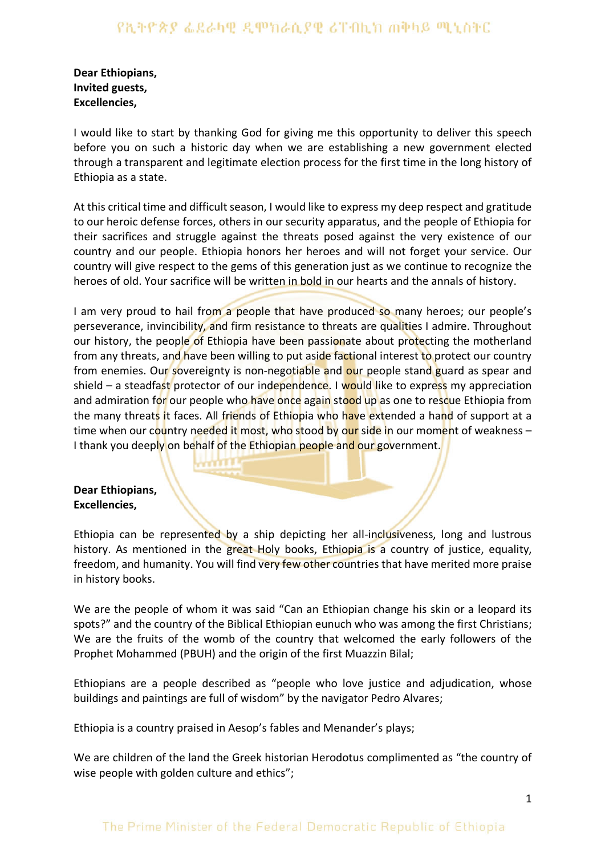**Dear Ethiopians, Invited guests, Excellencies,** 

I would like to start by thanking God for giving me this opportunity to deliver this speech before you on such a historic day when we are establishing a new government elected through a transparent and legitimate election process for the first time in the long history of Ethiopia as a state.

At this critical time and difficult season, I would like to express my deep respect and gratitude to our heroic defense forces, others in our security apparatus, and the people of Ethiopia for their sacrifices and struggle against the threats posed against the very existence of our country and our people. Ethiopia honors her heroes and will not forget your service. Our country will give respect to the gems of this generation just as we continue to recognize the heroes of old. Your sacrifice will be written in bold in our hearts and the annals of history.

I am very proud to hail from a people that have produced so many heroes; our people's perseverance, invincibility, and firm resistance to threats are qualities I admire. Throughout our history, the people of Ethiopia have been passionate about protecting the motherland from any threats, and have been willing to put aside factional interest to protect our country from enemies. Our sovereignty is non-negotiable and our people stand guard as spear and shield – a steadfast protector of our independence. I would like to express my appreciation and admiration for our people who have once again stood up as one to rescue Ethiopia from the many threats it faces. All friends of Ethiopia who have extended a hand of support at a time when our country needed it most, who stood by our side in our moment of weakness – I thank you deeply on behalf of the Ethiopian people and our government.

## **Dear Ethiopians, Excellencies,**

Ethiopia can be represented by a ship depicting her all-inclusiveness, long and lustrous history. As mentioned in the great Holy books, Ethiopia is a country of justice, equality, freedom, and humanity. You will find very few other countries that have merited more praise in history books.

We are the people of whom it was said "Can an Ethiopian change his skin or a leopard its spots?" and the country of the Biblical Ethiopian eunuch who was among the first Christians; We are the fruits of the womb of the country that welcomed the early followers of the Prophet Mohammed (PBUH) and the origin of the first Muazzin Bilal;

Ethiopians are a people described as "people who love justice and adjudication, whose buildings and paintings are full of wisdom" by the navigator Pedro Alvares;

Ethiopia is a country praised in Aesop's fables and Menander's plays;

wwm

We are children of the land the Greek historian Herodotus complimented as "the country of wise people with golden culture and ethics";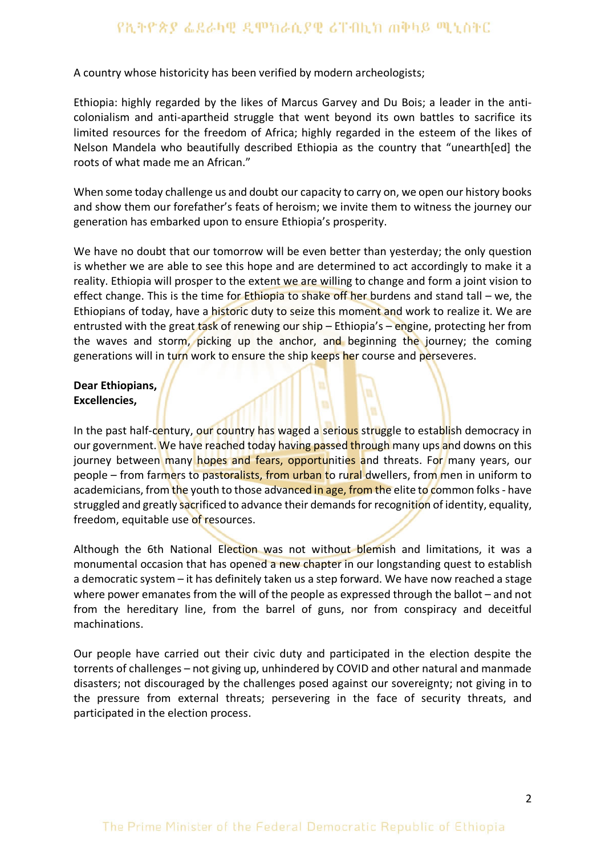A country whose historicity has been verified by modern archeologists;

Ethiopia: highly regarded by the likes of Marcus Garvey and Du Bois; a leader in the anticolonialism and anti-apartheid struggle that went beyond its own battles to sacrifice its limited resources for the freedom of Africa; highly regarded in the esteem of the likes of Nelson Mandela who beautifully described Ethiopia as the country that "unearth[ed] the roots of what made me an African."

When some today challenge us and doubt our capacity to carry on, we open our history books and show them our forefather's feats of heroism; we invite them to witness the journey our generation has embarked upon to ensure Ethiopia's prosperity.

We have no doubt that our tomorrow will be even better than yesterday; the only question is whether we are able to see this hope and are determined to act accordingly to make it a reality. Ethiopia will prosper to the extent we are willing to change and form a joint vision to effect change. This is the time for Ethiopia to shake off her burdens and stand tall – we, the Ethiopians of today, have a historic duty to seize this moment and work to realize it. We are entrusted with the great task of renewing our ship – Ethiopia's – engine, protecting her from the waves and storm, picking up the anchor, and beginning the journey; the coming generations will in turn work to ensure the ship keeps her course and perseveres.

## **Dear Ethiopians, Excellencies,**

In the past half-century, our country has waged a serious struggle to establish democracy in our government. We have reached today having passed through many ups and downs on this journey between many hopes and fears, opportunities and threats. For many years, our people – from farmers to pastoralists, from urban to rural dwellers, from men in uniform to academicians, from the youth to those advanced in age, from the elite to common folks - have struggled and greatly sacrificed to advance their demands for recognition of identity, equality, freedom, equitable use of resources.

Although the 6th National Election was not without blemish and limitations, it was a monumental occasion that has opened a new chapter in our longstanding quest to establish a democratic system – it has definitely taken us a step forward. We have now reached a stage where power emanates from the will of the people as expressed through the ballot – and not from the hereditary line, from the barrel of guns, nor from conspiracy and deceitful machinations.

Our people have carried out their civic duty and participated in the election despite the torrents of challenges – not giving up, unhindered by COVID and other natural and manmade disasters; not discouraged by the challenges posed against our sovereignty; not giving in to the pressure from external threats; persevering in the face of security threats, and participated in the election process.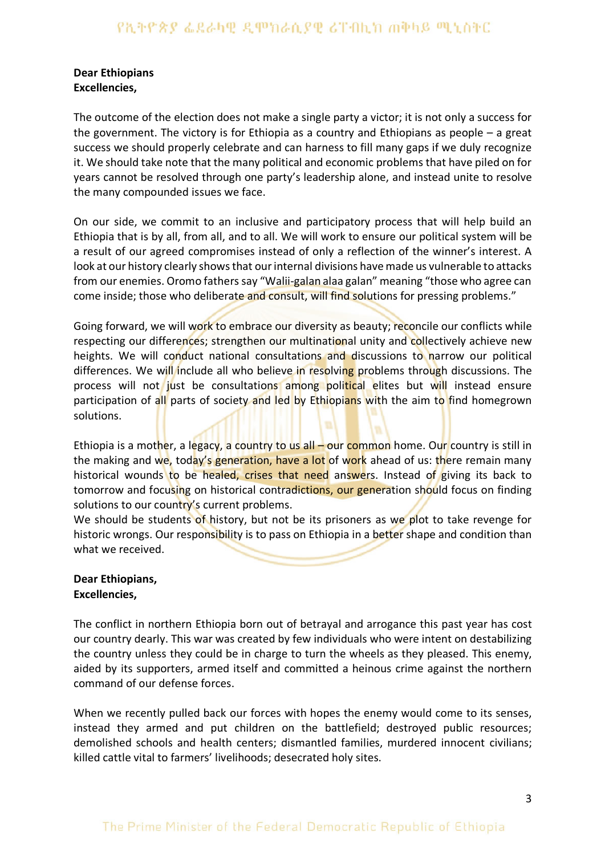## **Dear Ethiopians Excellencies,**

The outcome of the election does not make a single party a victor; it is not only a success for the government. The victory is for Ethiopia as a country and Ethiopians as people – a great success we should properly celebrate and can harness to fill many gaps if we duly recognize it. We should take note that the many political and economic problems that have piled on for years cannot be resolved through one party's leadership alone, and instead unite to resolve the many compounded issues we face.

On our side, we commit to an inclusive and participatory process that will help build an Ethiopia that is by all, from all, and to all. We will work to ensure our political system will be a result of our agreed compromises instead of only a reflection of the winner's interest. A look at our history clearly shows that our internal divisions have made us vulnerable to attacks from our enemies. Oromo fathers say "Walii-galan alaa galan" meaning "those who agree can come inside; those who deliberate and consult, will find solutions for pressing problems."

Going forward, we will work to embrace our diversity as beauty; reconcile our conflicts while respecting our differences; strengthen our multinational unity and collectively achieve new heights. We will conduct national consultations and discussions to narrow our political differences. We will include all who believe in resolving problems through discussions. The process will not just be consultations among political elites but will instead ensure participation of all parts of society and led by Ethiopians with the aim to find homegrown solutions.

Ethiopia is a mother, a legacy, a country to us all – our common home. Our country is still in the making and we, today's generation, have a lot of work ahead of us: there remain many historical wounds to be healed, crises that need answers. Instead of giving its back to tomorrow and focusing on historical contradictions, our generation should focus on finding solutions to our country's current problems.

We should be students of history, but not be its prisoners as we plot to take revenge for historic wrongs. Our responsibility is to pass on Ethiopia in a better shape and condition than what we received.

# **Dear Ethiopians, Excellencies,**

The conflict in northern Ethiopia born out of betrayal and arrogance this past year has cost our country dearly. This war was created by few individuals who were intent on destabilizing the country unless they could be in charge to turn the wheels as they pleased. This enemy, aided by its supporters, armed itself and committed a heinous crime against the northern command of our defense forces.

When we recently pulled back our forces with hopes the enemy would come to its senses, instead they armed and put children on the battlefield; destroyed public resources; demolished schools and health centers; dismantled families, murdered innocent civilians; killed cattle vital to farmers' livelihoods; desecrated holy sites.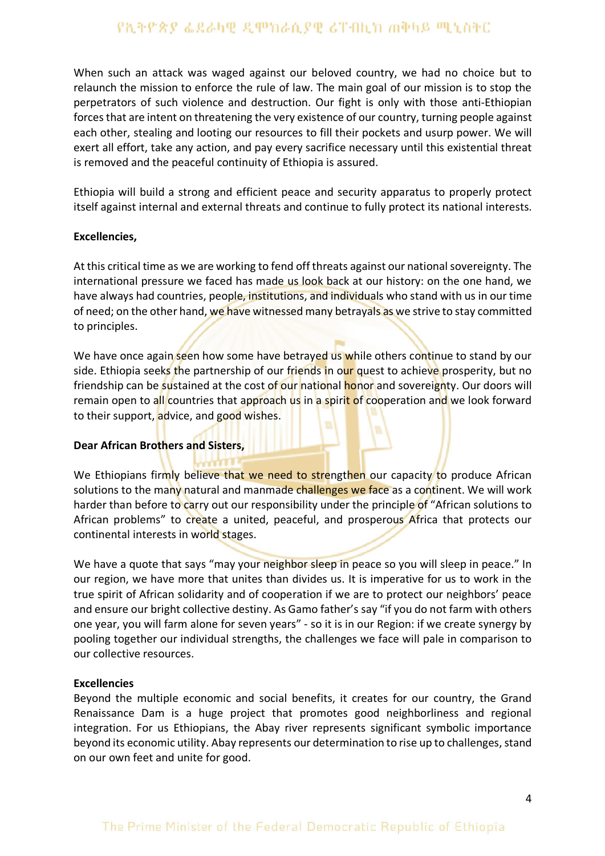# የኢትዮጵያ ፌደራካዊ ዲሞክራሲያዊ ሪፐብኪክ ጠቅካይ ሚኒስትር

When such an attack was waged against our beloved country, we had no choice but to relaunch the mission to enforce the rule of law. The main goal of our mission is to stop the perpetrators of such violence and destruction. Our fight is only with those anti-Ethiopian forces that are intent on threatening the very existence of our country, turning people against each other, stealing and looting our resources to fill their pockets and usurp power. We will exert all effort, take any action, and pay every sacrifice necessary until this existential threat is removed and the peaceful continuity of Ethiopia is assured.

Ethiopia will build a strong and efficient peace and security apparatus to properly protect itself against internal and external threats and continue to fully protect its national interests.

#### **Excellencies,**

At this critical time as we are working to fend off threats against our national sovereignty. The international pressure we faced has made us look back at our history: on the one hand, we have always had countries, people, institutions, and individuals who stand with us in our time of need; on the other hand, we have witnessed many betrayals as we strive to stay committed to principles.

We have once again seen how some have betrayed us while others continue to stand by our side. Ethiopia seeks the partnership of our friends in our quest to achieve prosperity, but no friendship can be sustained at the cost of our national honor and sovereignty. Our doors will remain open to all countries that approach us in a spirit of cooperation and we look forward to their support, advice, and good wishes.

#### **Dear African Brothers and Sisters,**

We Ethiopians firmly believe that we need to strengthen our capacity to produce African solutions to the many natural and manmade challenges we face as a continent. We will work harder than before to carry out our responsibility under the principle of "African solutions to African problems" to create a united, peaceful, and prosperous Africa that protects our continental interests in world stages.

We have a quote that says "may your neighbor sleep in peace so you will sleep in peace." In our region, we have more that unites than divides us. It is imperative for us to work in the true spirit of African solidarity and of cooperation if we are to protect our neighbors' peace and ensure our bright collective destiny. As Gamo father's say "if you do not farm with others one year, you will farm alone for seven years" - so it is in our Region: if we create synergy by pooling together our individual strengths, the challenges we face will pale in comparison to our collective resources.

#### **Excellencies**

Beyond the multiple economic and social benefits, it creates for our country, the Grand Renaissance Dam is a huge project that promotes good neighborliness and regional integration. For us Ethiopians, the Abay river represents significant symbolic importance beyond its economic utility. Abay represents our determination to rise up to challenges, stand on our own feet and unite for good.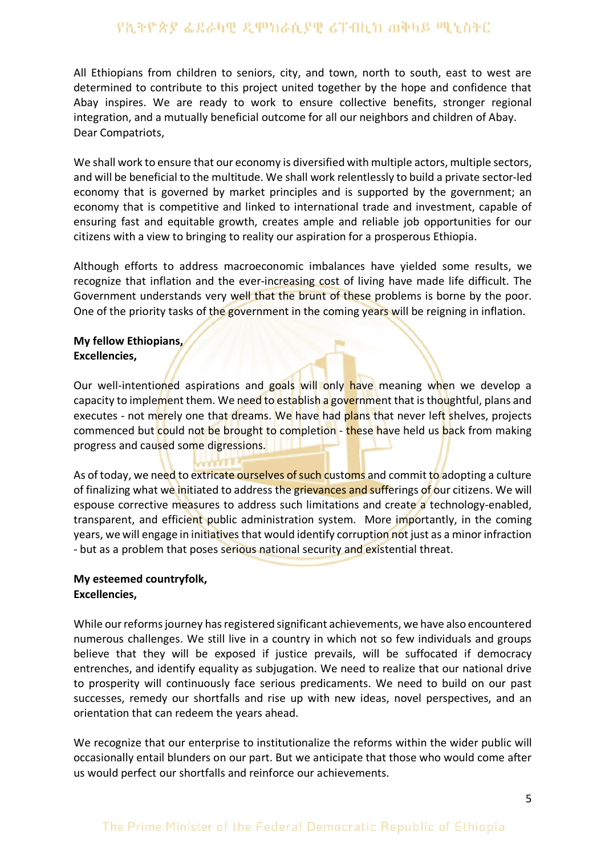# የኢትዮጵያ ፌደራካዊ ዲሞክራሲያዊ ሪፐብኪክ ጠቅካይ ሚኒስትር

All Ethiopians from children to seniors, city, and town, north to south, east to west are determined to contribute to this project united together by the hope and confidence that Abay inspires. We are ready to work to ensure collective benefits, stronger regional integration, and a mutually beneficial outcome for all our neighbors and children of Abay. Dear Compatriots,

We shall work to ensure that our economy is diversified with multiple actors, multiple sectors, and will be beneficial to the multitude. We shall work relentlessly to build a private sector-led economy that is governed by market principles and is supported by the government; an economy that is competitive and linked to international trade and investment, capable of ensuring fast and equitable growth, creates ample and reliable job opportunities for our citizens with a view to bringing to reality our aspiration for a prosperous Ethiopia.

Although efforts to address macroeconomic imbalances have yielded some results, we recognize that inflation and the ever-increasing cost of living have made life difficult. The Government understands very well that the brunt of these problems is borne by the poor. One of the priority tasks of the government in the coming years will be reigning in inflation.

# **My fellow Ethiopians, Excellencies,**

Our well-intentioned aspirations and goals will only have meaning when we develop a capacity to implement them. We need to establish a government that is thoughtful, plans and executes - not merely one that dreams. We have had plans that never left shelves, projects commenced but could not be brought to completion - these have held us back from making progress and caused some digressions.

As of today, we need to extricate ourselves of such customs and commit to adopting a culture of finalizing what we initiated to address the grievances and sufferings of our citizens. We will espouse corrective measures to address such limitations and create a technology-enabled, transparent, and efficient public administration system. More importantly, in the coming years, we will engage in initiatives that would identify corruption not just as a minor infraction - but as a problem that poses serious national security and existential threat.

#### **My esteemed countryfolk, Excellencies,**

While our reforms journey has registered significant achievements, we have also encountered numerous challenges. We still live in a country in which not so few individuals and groups believe that they will be exposed if justice prevails, will be suffocated if democracy entrenches, and identify equality as subjugation. We need to realize that our national drive to prosperity will continuously face serious predicaments. We need to build on our past successes, remedy our shortfalls and rise up with new ideas, novel perspectives, and an orientation that can redeem the years ahead.

We recognize that our enterprise to institutionalize the reforms within the wider public will occasionally entail blunders on our part. But we anticipate that those who would come after us would perfect our shortfalls and reinforce our achievements.